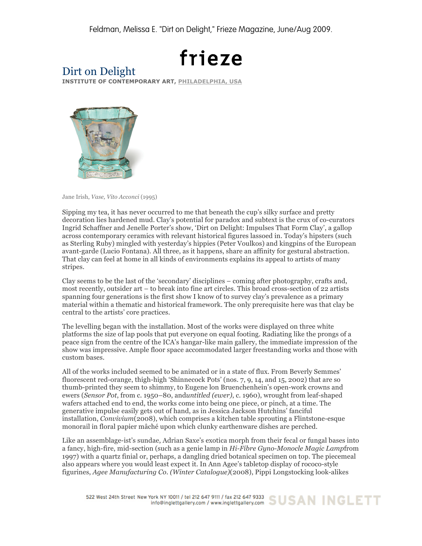## frieze

## Dirt on Delight

**INSTITUTE OF CONTEMPORARY ART, PHILADELPHIA, USA**



Jane Irish, *Vase, Vito Acconci* (1995)

Sipping my tea, it has never occurred to me that beneath the cup's silky surface and pretty decoration lies hardened mud. Clay's potential for paradox and subtext is the crux of co-curators Ingrid Schaffner and Jenelle Porter's show, 'Dirt on Delight: Impulses That Form Clay', a gallop across contemporary ceramics with relevant historical figures lassoed in. Today's hipsters (such as Sterling Ruby) mingled with yesterday's hippies (Peter Voulkos) and kingpins of the European avant-garde (Lucio Fontana). All three, as it happens, share an affinity for gestural abstraction. That clay can feel at home in all kinds of environments explains its appeal to artists of many stripes.

Clay seems to be the last of the 'secondary' disciplines – coming after photography, crafts and, most recently, outsider art – to break into fine art circles. This broad cross-section of 22 artists spanning four generations is the first show I know of to survey clay's prevalence as a primary material within a thematic and historical framework. The only prerequisite here was that clay be central to the artists' core practices.

The levelling began with the installation. Most of the works were displayed on three white platforms the size of lap pools that put everyone on equal footing. Radiating like the prongs of a peace sign from the centre of the ICA's hangar-like main gallery, the immediate impression of the show was impressive. Ample floor space accommodated larger freestanding works and those with custom bases.

All of the works included seemed to be animated or in a state of flux. From Beverly Semmes' fluorescent red-orange, thigh-high 'Shinnecock Pots' (nos. 7, 9, 14, and 15, 2002) that are so thumb-printed they seem to shimmy, to Eugene lon Bruenchenhein's open-work crowns and ewers (*Sensor Pot*, from c. 1950–80, and*untitled (ewer)*, c. 1960), wrought from leaf-shaped wafers attached end to end, the works come into being one piece, or pinch, at a time. The generative impulse easily gets out of hand, as in Jessica Jackson Hutchins' fanciful installation, *Convivium*(2008), which comprises a kitchen table sprouting a Flintstone-esque monorail in floral papier mâché upon which clunky earthenware dishes are perched.

Like an assemblage-ist's sundae, Adrian Saxe's exotica morph from their fecal or fungal bases into a fancy, high-fire, mid-section (such as a genie lamp in *Hi-Fibre Gyno-Monocle Magic Lamp*from 1997) with a quartz finial or, perhaps, a dangling dried botanical specimen on top. The piecemeal also appears where you would least expect it. In Ann Agee's tabletop display of rococo-style figurines, *Agee Manufacturing Co. (Winter Catalogue)*(2008), Pippi Longstocking look-alikes